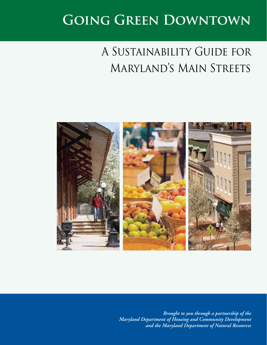# **Going Green Downtown**

# A Sustainability Guide for Maryland's Main Streets



*Brought to you through a partnership of the Maryland Department of Housing and Community Development and the Maryland Department of Natural Resources*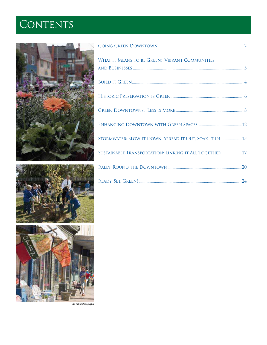# CONTENTS







| WHAT IT MEANS TO BE GREEN: VIBRANT COMMUNITIES         |
|--------------------------------------------------------|
|                                                        |
|                                                        |
|                                                        |
|                                                        |
| STORMWATER: SLOW IT DOWN, SPREAD IT OUT, SOAK IT IN 15 |
| SUSTAINABLE TRANSPORTATION: LINKING IT ALL TOGETHER 17 |
|                                                        |
|                                                        |

*Sam Kittner Photographer*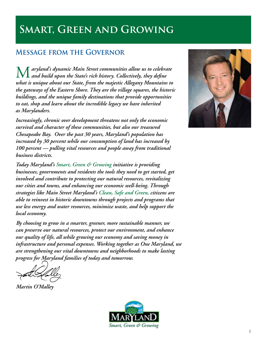## **Smart, Green and Growing**

## **Message from the Governor**

**[** aryland's dynamic Main Street communities allow us to celebrate *and build upon the State's rich history. Collectively, they define what is unique about our State, from the majestic Allegany Mountains to the gateways of the Eastern Shore. They are the village squares, the historic buildings, and the unique family destinations that provide opportunities to eat, shop and learn about the incredible legacy we have inherited as Marylanders.* 

*Increasingly, chronic over development threatens not only the economic survival and character of these communities, but also our treasured Chesapeake Bay. Over the past 30 years, Maryland's population has increased by 30 percent while our consumption of land has increased by 100 percent — pulling vital resources and people away from traditional business districts.* 

*Today Maryland's Smart, Green & Growing initiative is providing businesses, governments and residents the tools they need to get started, get involved and contribute to protecting our natural resources, revitalizing our cities and towns, and enhancing our economic well-being. Through strategies like Main Street Maryland's Clean, Safe and Green, citizens are able to reinvest in historic downtowns through projects and programs that use less energy and water resources, minimize waste, and help support the local economy.* 

*By choosing to grow in a smarter, greener, more sustainable manner, we can preserve our natural resources, protect our environment, and enhance our quality of life, all while growing our economy and saving money in infrastructure and personal expenses. Working together as One Maryland, we are strengthening our vital downtowns and neighborhoods to make lasting progress for Maryland families of today and tomorrow.*

*Martin O'Malley*



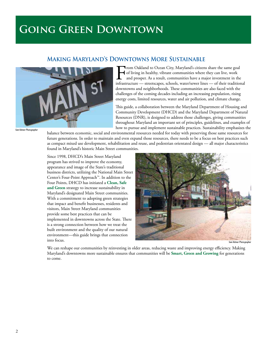## **Going Green Downtown**

### **Making Maryland's Downtowns More Sustainable**



From Oakland to Ocean City, Maryland's citizens share the same goal<br>of living in healthy, vibrant communities where they can live, work<br>and prosper. As a result, communities have a major investment in the<br>infrastructure of living in healthy, vibrant communities where they can live, work and prosper. As a result, communities have a major investment in the infrastructure — streetscapes, schools, water/sewer lines — of their traditional downtowns and neighborhoods. These communities are also faced with the challenges of the coming decades including an increasing population, rising energy costs, limited resources, water and air pollution, and climate change.

This guide, a collaboration between the Maryland Department of Housing and Community Development (DHCD) and the Maryland Department of Natural Resources (DNR), is designed to address those challenges, giving communities throughout Maryland an important set of principles, guidelines, and examples of how to pursue and implement sustainable practices. Sustainability emphasizes the

balance between economic, social and environmental resources needed for today with preserving those same resources for future generations. In order to maintain and even expand those resources, there needs to be a focus on best practices such as compact mixed use development, rehabilitation and reuse, and pedestrian orientated design — all major characteristics found in Maryland's historic Main Street communities.

Since 1998, DHCD's Main Street Maryland program has strived to improve the economy, appearance and image of the State's traditional business districts, utilizing the National Main Street Center's Four-Point Approach™. In addition to the Four Points, DHCD has initiated a **Clean, Safe and Green** strategy to increase sustainability in Maryland's designated Main Street communities. With a commitment to adopting green strategies that impact and benefit businesses, residents and visitors, Main Street Maryland communities provide some best practices that can be implemented in downtowns across the State. There is a strong connection between how we treat the built environment and the quality of our natural environment—this guide brings that connection into focus.



*Sam Kittner Photograph* 

We can reshape our communities by reinvesting in older areas, reducing waste and improving energy efficiency. Making Maryland's downtowns more sustainable ensures that communities will be **Smart, Green and Growing** for generations to come.

**Sam Kittner Photographer**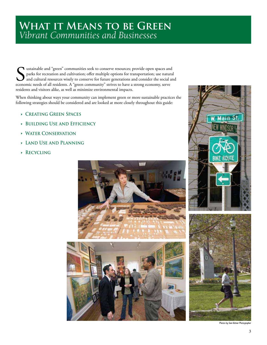## WHAT IT MEANS TO BE GREEN *Vibrant Communities and Businesses*

Sustainable and "green" communities seek to conserve resources; provide open spaces and parks for recreation and cultivation; offer multiple options for transportation; use natural and cultural resources wisely to conserve parks for recreation and cultivation; offer multiple options for transportation; use natural and cultural resources wisely to conserve for future generations and consider the social and economic needs of all residents. A "green community" strives to have a strong economy, serve residents and visitors alike, as well as minimize environmental impacts.

When thinking about ways your community can implement green or more sustainable practices the following strategies should be considered and are looked at more closely throughout this guide:

- **t Creating Green Spaces**
- **t Building Use and Efficiency**
- **t Water Conservation**
- **t Land Use and Planning**
- **t Recycling**







*Photos by Sam Kittner Photographer*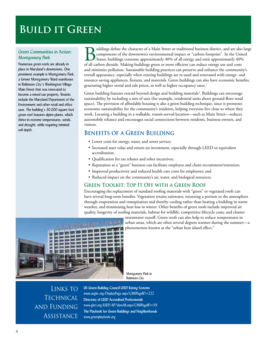## **Build it Green**

#### Green Communities in Action: *Montgomery Park*

Numerous green roofs are already in place in Maryland's downtowns. One prominent example is Montgomery Park, a former Montgomery Ward warehouse in Baltimore City's Washington Village Main Street that was renovated to become a mixed use property. Tenants include the Maryland Department of the Environment and other retail and office uses. The building's 30,000 square foot green roof features alpine plants, which thrive in extreme temperatures, winds, and drought, while requiring minimal soil depth.

Buildings define the character of a Main Street or traditional business district, and are also large<br>components of the downtown's environmental impact or "carbon footprint". In the United<br>States, buildings consume approxim components of the downtown's environmental impact or "carbon footprint". In the United States, buildings consume approximately 40% of all energy and emit approximately 40% of all carbon dioxide. Making buildings green or more efficient can reduce energy use and costs and minimize pollution. Sustainable building practices can preserve and enhance the community's overall appearance, especially when existing buildings are re-used and renovated with energy- and resource-saving appliances, fixtures, and materials. Green buildings can also have economic benefits, generating higher rental and sale prices, as well as higher occupancy rates.<sup>1</sup>

Green building features extend beyond design and building materials<sup>2</sup>. Buildings can encourage sustainability by including a mix of uses (for example, residential units above ground-floor retail space). The provision of affordable housing is also a green building technique, since it promotes economic sustainability for the community's residents, helping everyone live close to where they work. Locating a building in a walkable, transit-served location—such as Main Street—reduces automobile reliance and encourages social connections between residents, business owners, and visitors.

### **Benefits of a Green Building**

- Lower costs for energy, water, and sewer service;
- Increased asset value and return on investment, especially through LEED or equivalent accreditation;
- Qualification for tax rebates and other incentives;
- Reputation as a "green" business can facilitate employee and client recruitment/retention;
- Improved productivity and reduced health care costs for employees; and
- Reduced impact on the community's air, water, and biological resources.

#### **Green Toolkit: Top It Off with a Green Roof**

Encouraging the replacement of standard roofing materials with "green" or vegetated roofs can have several long-term benefits. Vegetation retains rainwater, returning a portion to the atmosphere through evaporation and transpiration and thereby cooling rather than heating a building in warm weather, and minimizing heat loss in winter. Other benefits of green roofs include improved air quality, longevity of roofing materials, habitat for wildlife, competitive lifecycle costs, and cleaner



stormwater runoff. Green roofs can also help to reduce temperatures in urban areas, which are often several degrees warmer during the summer—a phenomenon known as the "urban heat island effect."

Montgomery Park in Baltimore City

Links to **TECHNICAL** and Funding **ASSISTANCE** 

**US Green Building Council LEED Rating Systems**  www.usgbc.org/DisplayPage.aspx?CMSPageID=222 **Directory of LEED Accredited Professionals** www.gbci.org/LEED/AP/ViewAll.aspx?CMSPageID=59 **The Playbook for Green Buildings and Neighborhoods** www.greenplaybook.org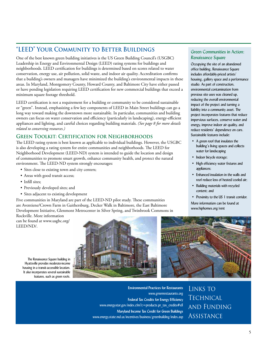## **"LEED" Your Community to Better Buildings**

One of the best known green building initiatives is the US Green Building Council's (USGBC) Leadership in Energy and Environmental Design (LEED) rating systems for buildings and neighborhoods. LEED certification for buildings is determined based on scores related to water conservation, energy use, air pollution, solid waste, and indoor air quality. Accreditation confirms that a building's owners and managers have minimized the building's environmental impacts in these areas. In Maryland, Montgomery County, Howard County, and Baltimore City have either passed or have pending legislation requiring LEED certification for new commercial buildings that exceed a minimum square footage threshold.

LEED certification is not a requirement for a building or community to be considered sustainable or "green". Instead, emphasizing a few key components of LEED in Main Street buildings can go a long way toward making the downtown more sustainable. In particular, communities and building owners can focus on water conservation and efficiency (particularly in landscaping), energy-efficient appliances and lighting, and careful choices regarding building materials. *(See page 8 for more details related to conserving resources.)*

#### **Green Toolkit: Certification for Neighborhoods**

The LEED rating system is best known as applicable to individual buildings. However, the USGBC is also developing a rating system for entire communities and neighborhoods. The LEED for Neighborhood Development (LEED-ND) system is intended to guide the location and design of communities to promote smart growth, enhance community health, and protect the natural environment. The LEED-ND system strongly encourages:

- Sites close to existing town and city centers;
- Areas with good transit access;
- Infill sites;
- Previously developed sites; and
- Sites adjacent to existing development

Five communities in Maryland are part of the LEED-ND pilot study. These communities are Aventiene/Crown Farm in Gaithersburg, Decker Walk in Baltimore, the East Baltimore Development Initiative, Glenmont Metrocenter in Silver Spring, and Twinbrook Commons in

Rockville. More information can be found at www.usgbc.org/ LEED/ND/.



#### Green Communities in Action: *Renaissance Square*

Occupying the site of an abandoned office building, Renaissance Square includes affordably-priced artists' housing, gallery space and a performance studio. As part of construction, environmental contamination from previous site uses was cleaned up, reducing the overall environmental impact of the project and turning a liability into a community asset. The project incorporates features that reduce impervious surfaces, conserve water and energy, improve indoor air quality, and reduce residents' dependence on cars. Sustainable features include:

- A green roof that insulates the building's living spaces and collects water for landscaping
- Indoor bicycle storage;
- High efficiency water fixtures and appliances;
- Enhanced insulation in the walls and roof reduce loss of heated/cooled air:
- Building materials with recycled content: and
- Proximity to the US 1 transit corridor.

More information can be found at www.hiphomes.org/rent



Links to **TECHNICAL** and Funding **ASSISTANCE** 

The Renaissance Square building in Hyattsville provides moderate-income housing in a transit-accessible location. It also incorporates several sustainable features, such as green roofs.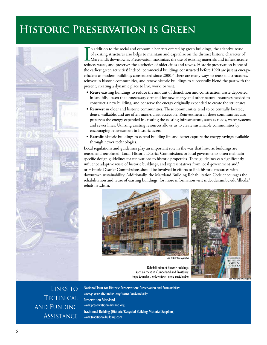## **Historic Preservation is Green**



In addition to the social and economic benefits offered by green buildings, the adaptive reuse<br>of existing structures also helps to maintain and capitalize on the distinct historic character of<br>Maryland's downtowns. Preser n addition to the social and economic benefits offered by green buildings, the adaptive reuse of existing structures also helps to maintain and capitalize on the distinct historic character of Maryland's downtowns. Preservation maximizes the use of existing materials and infrastructure, the earliest green activities! Indeed, commercial buildings constructed before 1920 are just as energyefficient as modern buildings constructed since 2000.3 There are many ways to reuse old structures, reinvest in historic communities, and renew historic buildings to successfully blend the past with the present, creating a dynamic place to live, work, or visit.

- **Reuse** existing buildings to reduce the amount of demolition and construction waste deposited in landfills, lessen the unnecessary demand for new energy and other natural resources needed to construct a new building, and conserve the energy originally expended to create the structures.
- **Reinvest** in older and historic communities. These communities tend to be centrally located, dense, walkable, and are often mass-transit accessible. Reinvestment in these communities also preserves the energy expended in creating the existing infrastructure, such as roads, water systems and sewer lines. Utilizing existing resources allows us to create sustainable communities by encouraging reinvestment in historic assets.
- **Retrofit** historic buildings to extend building life and better capture the energy savings available through newer technologies.

Local regulations and guidelines play an important role in the way that historic buildings are reused and retrofitted. Local Historic District Commissions or local governments often maintain specific design guidelines for renovations to historic properties. These guidelines can significantly influence adaptive reuse of historic buildings, and representatives from local government and/ or Historic District Commissions should be involved in efforts to link historic resources with downtown sustainability. Additionally, the Maryland Building Rehabilitation Code encourages the rehabilitation and reuse of existing buildings, for more information visit mdcodes.umbc.edu/dhcd2/ rehab-new.htm.





Rehabilitation of historic buildings, such as these in Cumberland and Frostburg, helps to make the downtown more sustainable.

Links to **TECHNICAL** and Funding **ASSISTANCE** 

**National Trust for Historic Preservation:** Preservation and Sustainability www.preservationnation.org/issues/sustainability **Preservation Maryland** www.preservationmaryland.org **Traditional Building (Historic/Recycled Building Material Suppliers**) www.traditional-building.com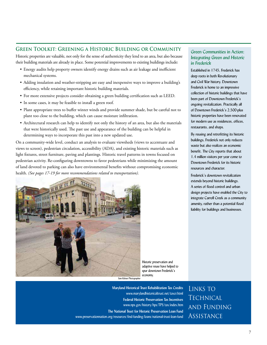#### **Green Toolkit: Greening a Historic Building or Community**

Historic properties are valuable, not only for the sense of authenticity they lend to an area, but also because their building materials are already in place. Some potential improvements to existing buildings include:

- Energy audits help property owners identify energy drains such as air leakage and inefficient mechanical systems.
- Adding insulation and weather-stripping are easy and inexpensive ways to improve a building's efficiency, while retaining important historic building materials.
- For more extensive projects consider obtaining a green building certification such as LEED.
- In some cases, it may be feasible to install a green roof.
- Plant appropriate trees to buffer winter winds and provide summer shade, but be careful not to plant too close to the building, which can cause moisture infiltration.
- Architectural research can help to identify not only the history of an area, but also the materials that were historically used. The past use and appearance of the building can be helpful in determining ways to incorporate this past into a new updated use.

On a community-wide level, conduct an analysis to evaluate viewsheds (views to accentuate and views to screen), pedestrian circulation, accessibility (ADA), and existing historic materials such as light fixtures, street furniture, paving and plantings. Historic travel patterns in towns focused on pedestrian activity. Re-configuring downtowns to favor pedestrians while minimizing the amount of land devoted to parking can also have environmental benefits without compromising economic health. *(See pages 17-19 for more recommendations related to transportation).*



Historic preservation and adaptive reuse have helped to spur downtown Frederick's economy.

*Sam Kittner Photographer*

**Maryland Historical Trust Rehabilitation Tax Credits**  www.marylandhistoricaltrust.net/taxcr.html **Federal Historic Preservation Tax Incentives**  www.nps.gov/history/hps/TPS/tax/index.htm **The National Trust for Historic Preservation Loan Fund**  www.preservationnation.org/resources/find-funding/loans/national-trust-loan-fund

#### Green Communities in Action: *Integrating Green and Historic in Frederick*

Established in 1745, Frederick has deep roots in both Revolutionary and Civil War history. Downtown Frederick is home to an impressive collection of historic buildings that have been part of Downtown Frederick's ongoing revitalization. Practically all of Downtown Frederick's 2,500-plus historic properties have been renovated for modern use as residences, offices, restaurants, and shops.

By reusing and retrofitting its historic buildings, Frederick not only reduces waste but also realizes an economic benefit. The City reports that about 1.4 million visitors per year come to Downtown Frederick for its historic resources and character.

Frederick's downtown revitalization extends beyond historic buildings. A series of flood control and urban design projects have enabled the City to integrate Carroll Creek as a community amenity, rather than a potential flood liability for buildings and businesses.

LINKS TO **TECHNICAL** and Funding Assistance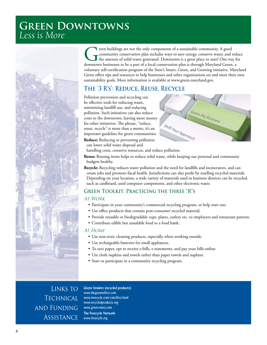## **Green Downtowns**  *Less is More*



The mean buildings are not the only components of a sustainable community. A good community conservation plan includes ways to save energy, conserve water, and r the amount of solid waste generated. Downtown is a great pla community conservation plan includes ways to save energy, conserve water, and reduce the amount of solid waste generated. Downtown is a great place to start! One way for downtown businesses to be a part of a local conservation plan is through Maryland Green, a voluntary self-certification program of the State's Smart, Green, and Growing initiative. Maryland Green offers tips and resources to help businesses and other organizations set and meet their own sustainability goals. More information is available at www.green.maryland.gov.

## **The '3 R's': Reduce, Reuse, Recycle**

Pollution prevention and recycling can be effective tools for reducing waste, minimizing landfill use, and reducing pollution. Such initiatives can also reduce costs to the downtown, leaving more money for other initiatives. The phrase, "reduce, reuse, recycle" is more than a motto, it's an important guideline for green communities. **Reduce:** Reducing or preventing pollution can lower solid waste disposal and



handling costs, conserve resources, and reduce pollution.

Reuse: Reusing items helps to reduce solid waste, while keeping our personal and community budgets healthy.

Recycle: Recycling reduces water pollution and the need for landfills and incinerators, and can create jobs and promote fiscal health. Jurisdictions can also profit by reselling recycled materials. Depending on your location, a wide variety of materials used in business districts can be recycled, such as cardboard, used computer components, and other electronic waste.

## **Green Toolkit: Practicing the three "R"s**

#### At Work

- Participate in your community's commercial recycling program, or help start one.
- Use office products that contain post-consumer recycled material.
- Provide reusable or biodegradable cups, plates, cutlery etc. to employees and restaurant patrons.
- Contribute edible but unsalable food to a food bank.

#### **AT HOME**

- Use non-toxic cleaning products, especially when working outside.
- Use rechargeable batteries for small appliances.
- To save paper, opt to receive e-bills, e-statements, and pay your bills online.
- Use cloth napkins and towels rather than paper towels and napkins.
- Start or participate in a community recycling program.

LINKS TO **TECHNICAL** and Funding **ASSISTANCE** 

**Green Vendors (recycled products):**  www.thegreenoffice.com www.treecycle.com/catoffice.html www.recycledproducts.org www.green-mary.com **The Freecycle Network**  www.freecycle.org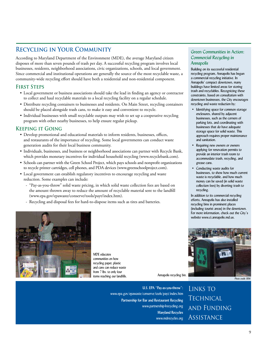## **Recycling in Your Community**

According to Maryland Department of the Environment (MDE), the average Maryland citizen disposes of more than seven pounds of trash per day. A successful recycling program involves local businesses, residents, neighborhood associations, civic organizations, schools, and local government. Since commercial and institutional operations are generally the source of the most recyclable waste, a community-wide recycling effort should have both a residential and non-residential component.

#### **First Steps**

- Local government or business associations should take the lead in finding an agency or contractor to collect and haul recyclable materials to a local recycling facility on a regular schedule.
- Distribute recycling containers to businesses and residents. On Main Street, recycling containers should be placed alongside trash cans, to make it easy and convenient to recycle.
- Individual businesses with small recyclable outputs may wish to set up a cooperative recycling program with other nearby businesses, to help ensure regular pickup.

#### **Keeping it Going**

- Develop promotional and educational materials to inform residents, businesses, offices, and restaurants of the importance of recycling. Some local governments can conduct waste generation audits for their local business community.
- · Individuals, businesses, and business or neighborhood associations can partner with Recycle Bank, which provides monetary incentives for individual household recycling (www.recyclebank.com).
- Schools can partner with the Green School Project, which pays schools and nonprofit organizations to recycle printer cartridges, cell phones, and PDA devices (www.greenschoolproject.com).
- Local government can establish regulatory incentives to encourage recycling and waste reduction. Some examples can include:
	- "Pay-as-you-throw" solid waste pricing, in which solid waste collection fees are based on the amount thrown away to reduce the amount of recyclable material sent to the landfill (www.epa.gov/epawaste/conserve/tools/payt/index.htm).
	- Recycling and disposal fees for hard-to-dispose items such as tires and batteries.

#### Green Communities in Action: *Commercial Recycling in Annapolis*

Building on its successful residential recycling program, Annapolis has begun a commercial recycling initiative. In Annapolis' compact downtown, many buildings have limited areas for storing trash and recyclables. Recognizing these constraints, based on consultation with downtown businesses, the City encourages recycling and waste reduction by:

- Identifying space for common storage enclosures, shared by adjacent businesses, such as the corners of parking lots, and coordinating with businesses that do have adequate storage space for solid waste. This approach requires proper maintenance and sanitation.
- Requiring new owners or owners applying for renovation permits to provide an interior trash room to accommodate trash, recycling, and grease cans.
- Conducting waste audits for businesses, to show how much current waste is recyclable, and how much money can be saved (in solid waste collection fees) by diverting trash to recycling.

In addition to its commercial recycling efforts, Annapolis has also installed recycling bins in prominent places (including tourist areas) in the downtown. For more information, check out the City's website www.ci.annapolis.md.us.





MDE educates communities on how recycling paper, plastic and cans can reduce waste from 7 lbs. to only four

Annapolis recycling bin.

**U.S. EPA "Pay-as-you-throw":**  www.epa.gov/epawaste/conserve/tools/payt/index.htm **Partnership for Bar and Restaurant Recycling**  www.partnership4recycling.org **Maryland Recycles**  www.mdrecycles.org

Links to **TECHNICAL** and Funding **ASSISTANCE**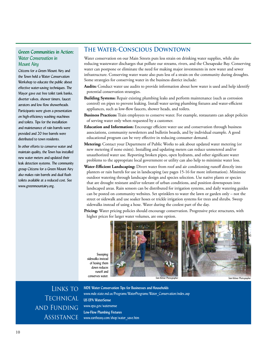#### **Green Communities in Action:**  *Water Conservation in Mount Airy*

Citizens for a Green Mount Airy and the Town held a Water Conservation Workshop to educate the public about effective water-saving techniques. The Mayor gave out free toilet tank banks, diverter valves, shower timers, faucet aerators and low flow showerheads. Participants were given a presentation on high-efficiency washing machines and toilets. Tips for the installation and maintenance of rain barrels were provided and 20 free barrels were distributed to town residents.

In other efforts to conserve water and maintain quality, the Town has installed new water meters and updated their leak detection systems. The community group Citizens for a Green Mount Airy also makes rain barrels and dual flush toilets available at a reduced cost. See www.greenmountairy.org.

### **The Water-Conscious Downtown**

Water conservation on our Main Streets puts less strain on drinking water supplies, while also reducing wastewater discharges that pollute our streams, rivers, and the Chesapeake Bay. Conserving water can postpone or eliminate the need for making major investments in new water and sewer infrastructure. Conserving water waste also puts less of a strain on the community during droughts. Some strategies for conserving water in the business district include:

- Audits: Conduct water use audits to provide information about how water is used and help identify potential conservation strategies.
- Building Systems: Repair existing plumbing leaks and perform maintenance (such as corrosion control) on pipes to prevent leaking. Install water saving plumbing fixtures and water-efficient appliances, such as low-flow faucets, shower heads, and toilets.
- Business Practices: Train employees to conserve water. For example, restaurants can adopt policies of serving water only when requested by a customer.
- **Education and Information:** Encourage efficient water use and conservation through business associations, community newsletters and bulletin boards, and by individual example. A good educational program can be very effective in reducing consumer demand.
- Metering: Contact your Department of Public Works to ask about updated water metering (or new metering if none exists). Installing and updating meters can reduce unmetered and/or unauthorized water use. Reporting broken pipes, open hydrants, and other significant water problems to the appropriate local government or utility can also help to minimize water loss.
- **Water-Efficient Landscaping:** Divert water from roof and air conditioning runoff directly into planters or rain barrels for use in landscaping (see pages 15-16 for more information). Minimize outdoor watering through landscape design and species selection. Use native plants or species that are drought resistant and/or tolerant of urban conditions, and position downspouts into landscaped areas. Rain sensors can be distributed for irrigation systems, and daily watering guides can be posted on community websites. Set sprinklers to water the lawn or garden only – not the street or sidewalk and use soaker hoses or trickle irrigation systems for trees and shrubs. Sweep sidewalks instead of using a hose. Water during the coolest part of the day.
- Pricing: Water pricing policies should encourage conservation. Progressive price structures, with higher prices for larger water volumes, are one option.

Sweeping sidewalks instead of hosing them down reduces runoff and





Links to **TECHNICAL** and Funding **ASSISTANCE** 

**MDE Water Conservation Tips for Businesses and Households** www.mde.state.md.us/Programs/WaterPrograms/Water\_Conservation/index.asp **US EPA WaterSense**  www.epa.gov/watersense **Low-Flow Plumbing Fixtures**  www.eartheasy.com/shop/water\_save.htm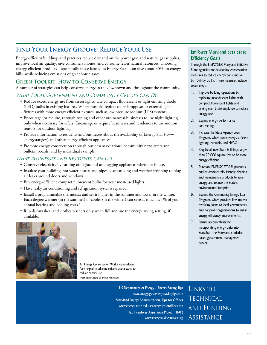## **Find Your Energy Groove: Reduce Your Use**

Energy-efficient buildings and practices reduce demand on the power grid and natural gas supplies, improve local air quality, save consumers money, and consume fewer natural resources. Choosing energy-efficient products—specifically those labeled as Energy Star—can save about 30% on energy bills, while reducing emissions of greenhouse gases.

### **Green Toolkit: How to Conserve Energy**

A number of strategies can help conserve energy in the downtown and throughout the community.

#### What Local Government and Community Groups Can Do

- Reduce excess energy use from street lights. Use compact fluorescent or light emitting diode (LED) bulbs in existing fixtures. Where feasible, replace older lampposts or external light fixtures with more energy efficient fixtures, such as low pressure sodium (LPS) systems.
- Encourage (or require, through zoning and other ordinances) businesses to use night lighting only when necessary for safety. Encourage or require businesses and residences to use motion sensors for outdoor lighting.
- Provide information to residents and businesses about the availability of Energy Star (www. energystar.gov) and other energy-efficient appliances.
- Promote energy conservation through business associations, community newsletters and bulletin boards, and by individual example.

#### What Businesses and Residents Can Do

- Conserve electricity by turning off lights and unplugging appliances when not in use.
- Insulate your building, hot water heater, and pipes. Use caulking and weather stripping to plug air leaks around doors and windows
- Buy energy-efficient compact fluorescent bulbs for your most-used lights.
- Have leaky air conditioning and refrigeration systems repaired.
- Install a programmable thermostat and set it higher in the summer and lower in the winter. Each degree warmer (in the summer) or cooler (in the winter) can save as much as 1% of your annual heating and cooling costs.<sup>4</sup>
- Run dishwashers and clothes washers only when full and use the energy saving setting, if available.



An Energy Conservation Workshop in Mount Airy helped to educate citizens about ways to reduce energy use. *Photo credit: Citizens for a Green Mount Airy*

**US Department of Energy – Energy Saving Tips** www.energy.gov/energysavingtips.htm **Maryland Energy Administration, Tips for Offices** www.energy.state.md.us/energytipsforoffices.asp **Tax Incentives Assistance Project (TIAP)**  www.energytaxincentives.org

#### **EmPower Maryland Sets State Efficiency Goals**

Through the EmPOWER Maryland initiative State agencies are developing conservation measures to reduce energy consumption by 15% by 2015. Those measures include seven steps:

- 1. Improve building operations by replacing incandescent lights with compact fluorescent lights and asking each State employee to reduce energy use.
- 2. Expand energy performance contracting.
- 3. Increase the State Agency Loan Program, which funds energy-efficient lighting, controls, and HVAC.
- 4. Require all new State buildings larger than 20,000 square feet to be more energy efficient.
- 5. Purchase ENERGY STAR® products and environmentally friendly cleaning and maintenance products to save energy and reduce the State's environmental footprint.
- 6. Expand the Community Energy Loan Program, which provides low-interest revolving loans to local governments and nonprofit organizations to install energy efficiency improvements.
- 7. Ensure accountability by incorporating energy data into StateStat, the Maryland statisticsbased government management process.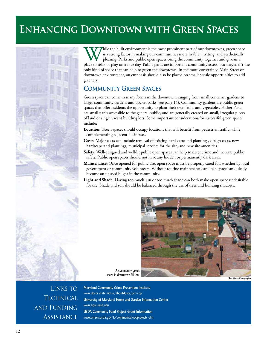## **Enhancing Downtown with Green Spaces**

While the built environment is the most prominent part of our downtowns, green space is a strong factor in making our communities more livable, inviting, and aesthetically pleasing. Parks and public open spaces bring the c is a strong factor in making our communities more livable, inviting, and aesthetically pleasing. Parks and public open spaces bring the community together and give us a only kind of space that can help to green the downtown. In the more constrained Main Street or downtown environment, an emphasis should also be placed on smaller-scale opportunities to add greenery.

## **Community Green Spaces**

Green space can come in many forms in the downtown, ranging from small container gardens to larger community gardens and pocket parks (see page 14). Community gardens are public green spaces that offer residents the opportunity to plant their own fruits and vegetables. Pocket Parks are small parks accessible to the general public, and are generally created on small, irregular pieces of land or single vacant building lots. Some important considerations for successful green spaces include:

- Location: Green spaces should occupy locations that will benefit from pedestrian traffic, while complementing adjacent businesses.
- **Costs:** Major costs can include removal of existing hardscape and plantings, design costs, new hardscape and plantings, municipal services for the site, and new site amenities.
- Safety: Well-designed and well-lit public open spaces can help to deter crime and increase public safety. Public open spaces should not have any hidden or permanently dark areas.
- **Maintenance:** Once opened for public use, open space must be properly cared for, whether by local government or community volunteers. Without routine maintenance, an open space can quickly become an unused blight in the community.
- Light and Shade: Having too much sun or too much shade can both make open space undesirable for use. Shade and sun should be balanced through the use of trees and building shadows.



A community green space in downtown Elkton.

*Sam Kittner Photographer*

Links to **TECHNICAL** and Funding **ASSISTANCE** 

**Maryland Community Crime Prevention Institute** www.dpscs.state.md.us/aboutdpscs/pct/ccpi **University of Maryland Home and Garden Information Center** www.hgic.umd.edu **USDA Community Food Project Grant Information** www.csrees.usda.gov/fo/communityfoodprojects.cfm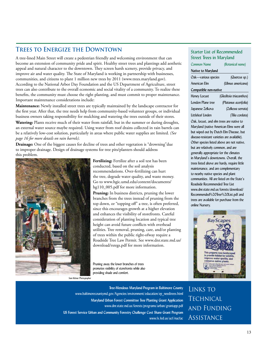## **Trees to Energize the Downtown**

A tree-lined Main Street will create a pedestrian friendly and welcoming environment that can become an extension of community pride and spirit. Healthy street trees and plantings add aesthetic appeal and natural character to the downtown. They screen harsh scenery, provide privacy, and improve air and water quality. The State of Maryland is working in partnership with businesses, communities, and citizens to plant 1 million new trees by 2011 (www.trees.maryland.gov). According to the National Arbor Day Foundation and the US Department of Agriculture, street trees can also contribute to the overall economic and social vitality of a community. To realize these benefits, the community must choose the right planting, and must commit to proper maintenance. Important maintenance considerations include:

Maintenance: Newly installed street trees are typically maintained by the landscape contractor for the first year. After that, the tree needs help from community-based volunteer groups, or individual business owners taking responsibility for mulching and watering the trees outside of their stores. Watering: Plants receive much of their water from rainfall, but in the summer or during droughts, an external water source maybe required. Using water from roof drains collected in rain barrels can be a relatively low-cost solution, particularly in areas where public water supplies are limited. *(See page 16 for more details on rain barrels).*

Drainage: One of the biggest causes for decline of trees and other vegetation is "drowning"due to improper drainage. Design of drainage systems for tree pits/planters should address this problem.



Fertilizing: Fertilize after a soil test has been conducted, based on the soil analysis recommendations. Over-fertilizing can hurt the tree, degrade water quality, and waste money. Go to www.hgic.umd.edu/content/documents/ hg110\_005.pdf for more information.

**Pruning:** In business districts, pruning the lower branches from the trees instead of pruning from the top down, or "topping off" a tree, is often preferred, since this encourages growth at a higher elevation and enhances the visibility of storefronts. Careful consideration of planting location and typical tree height can avoid future conflicts with overhead utilities. Tree removal, pruning, care, and/or planting of trees within the public right-of way require a Roadside Tree Law Permit. See www.dnr.state.md.us/ download/rsregs.pdf for more information.

Pruning away the lower branches of trees promotes visibility of storefronts while also providing shade and comfort.

*Sam Kittner Photographer*

#### Starter List of Recommended Street Trees in Maryland

| Common Name           | (Botanical name)        |
|-----------------------|-------------------------|
| Native to Maryland    |                         |
| Oak—various species   | (Quercus sp.)           |
| American Flm          | (Ulmus americana)       |
| Compatible non-native |                         |
| Honey Locust          | (Gleditsia triacanthos) |
| London Plane tree     | (Platanus acerífolía)   |
| Japanese Zelkova      | (Zelkova serrata)       |
| Littleleaf Linden     | (Tílía cordata)         |

Oak, locust, and elm trees are native to Maryland (native American Elms were all but wiped out by Dutch Elm Disease, but disease-resistant varieties are available). Other species listed above are not native, but are relatively common, and are generally appropriate for the climates in Maryland's downtowns. Overall, the trees listed above are hardy, require little maintenance, and are complementary to nearby native species and plant communities. All are listed on the State's Roadside Recommended Tree List www.dnr.state.md.us/forests/download/ Recommended%20Tree%20List.pdf and trees are available for purchase from the online Nursery.



Links to **TECHNICAL** and Funding **ASSISTANCE** 

**Tree-Mendous Maryland Program in Baltimore County**  www.baltimorecountymd.gov/Agencies/environment/education/ep\_needtrees.html **Maryland Urban Forest Committee Tree Planting Grant Application**  www.dnr.state.md.us/forests/programs/urban/grantapp.pdf **US Forest Service Urban and Community Forestry Challenge Cost Share Grant Program**  www.fs.fed.us/ucf/nucfac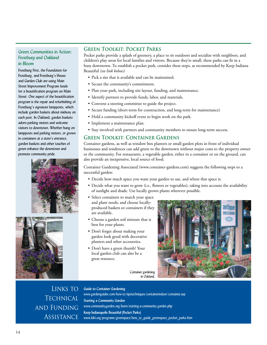#### Green Communities in Action: *Frostburg and Oakland in Bloom*

Frostburg First, the Foundation for Frostburg, and Frostburg's House and Garden Club are using Main Street Improvement Program funds for a beautification program on Main Street. One aspect of the beautification program is the repair and refurbishing of Frostburg's signature lampposts, which include garden baskets about midway on each post. In Oakland, garden baskets adorn parking meters and welcome visitors to downtown. Whether hung on lampposts and parking meters, or grown in containers at a store's entrance, garden baskets and other touches of green enhance the downtown and promote community pride.





#### **Green Toolkit: Pocket Parks**

Pocket parks provide a splash of greenery, a place to sit outdoors and socialize with neighbors, and children's play areas for local families and visitors. Because they're small, these parks can fit in a busy downtown. To establish a pocket park, consider these steps, as recommended by Keep Indiana Beautiful *(see link below)*:

- Pick a site that is available and can be maintained.
- Secure the community's commitment.
- Plan your park, including site layout, funding, and maintenance.
- Identify partners to provide funds, labor, and materials.
- Convene a steering committee to guide the project.
- Secure funding (short-term for construction, and long-term for maintenance)
- Hold a community kickoff event to begin work on the park.
- Implement a maintenance plan.
- Stay involved with partners and community members to ensure long-term success.

#### **Green Toolkit: Container Gardens**

Container gardens, as well as window box planters or small garden plots in front of individual businesses and residences can add green to the downtown without major costs to the property owner or the community. For restaurants, a vegetable garden, either in a container or on the ground, can also provide an inexpensive, local source of food.

Container Gardening Associated (www.container-gardens.com) suggests the following steps to a successful garden:

- Decide how much space you want your garden to use, and where that space is.
- Decide what you want to grow (i.e., flowers or vegetables), taking into account the availability of sunlight and shade. Use locally grown plants wherever possible.
- Select containers to match your space and plant needs, and choose locallyproduced baskets or containers if they are available.
- Choose a garden soil mixture that is best for your plants.
- Don't forget about making your garden look good with decorative planters and other accessories.
- Don't have a green thumb? Your local garden club can also be a great resource.

Container gardening in Oakland.



LINKS TO **TECHNICAL** and Funding **ASSISTANCE** 

**Guide to Container Gardening** www.gardenguides.com/how-to/tipstechniques/containerindoor/container.asp **Starting a Community Garden**  www.communitygarden.org/learn/starting-a-community-garden.php **Keep Indianapolis Beautiful (Pocket Parks)**  www.kibi.org/programs/greenspace/how\_to\_guide\_greenspace\_pocket\_parks.htm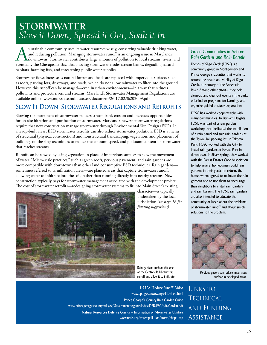## **STORMWATER** *Slow it Down, Spread it Out, Soak it In*

sustainable community uses its water resources wisely, conserving valuable drinking water, and reducing pollution. Managing stormwater runoff is an ongoing issue in Maryland's downtowns. Stormwater contributes large amount and reducing pollution. Managing stormwater runoff is an ongoing issue in Maryland's downtowns. Stormwater contributes large amounts of pollution to local streams, rivers, and eventually the Chesapeake Bay. Fast-moving stormwater erodes stream banks, degrading natural habitats, harming fish, and threatening public water supplies.

Stormwater flows increase as natural forests and fields are replaced with impervious surfaces such as roofs, parking lots, driveways, and roads, which do not allow rainwater to filter into the ground. However, this runoff can be managed—even in urban environments—in a way that reduces pollutants and protects rivers and streams. Maryland's Stormwater Management Regulations are available online: www.mde.state.md.us/assets/document/26.17.02.%202009.pdf.

### **Slow It Down: Stormwater Regulations and Retrofits**

Slowing the movement of stormwater reduces stream bank erosion and increases opportunities for on-site filtration and purification of stormwater. Maryland's newest stormwater regulations require that new construction manage stormwater through Environmental Site Design (ESD). In already-built areas, ESD stormwater retrofits can also reduce stormwater pollution. ESD is a menu of structural (physical construction) and nonstructural (landscaping, vegetation, and placement of buildings on the site) techniques to reduce the amount, speed, and pollutant content of stormwater that reaches streams.

Runoff can be slowed by using vegetation in place of impervious surfaces to slow the movement of water. "Micro-scale practices," such as green roofs, pervious pavement, and rain gardens are more compatible with downtowns than other land consumptive ESD techniques. Rain gardenssometimes referred to as infiltration areas—are planted areas that capture stormwater runoff, allowing water to infiltrate into the soil, rather than running directly into nearby streams. New construction typically pays for stormwater management associated with the development project. The cost of stormwater retrofits—redesigning stormwater systems to fit into Main Street's existing



character—is typically undertaken by the local jurisdiction *(see page 16 for funding suggestions).* 

Rain gardens such as this one at the Centreville Library trap runoff and allow it to infiltrate.

#### Green Communities in Action: *Rain Gardens and Rain Barrels*

Friends of Sligo Creek (FOSC) is a community group in Montgomery and Prince George's Counties that works to restore the health and vitality of Sligo Creek, a tributary of the Anacostia River. Among other efforts, they hold clean-up and clear-out events in the park, offer indoor programs for learning, and organize guided outdoor explorations.

FOSC has worked cooperatively with many communities. In Berwyn Heights, FOSC was part of a rain garden workshop that facilitated the installation of a rain barrel and two rain gardens at the Town Hall parking lot. In Takoma Park, FOSC worked with the City to install rain gardens at Forest Park in downtown. In Silver Spring, they worked with the Forest Estates Civic Association to help several homeowners build rain gardens in their yards. In return, the homeowners agreed to maintain the rain gardens and to use them to encourage their neighbors to install rain gardens and rain barrels. The FOSC rain gardens are also intended to educate the community at large about the problems of stormwater runoff and about simple solutions to the problem.



Pervious pavers can reduce impervious surface in developed areas.

Links to

**TECHNICAL** 

**ASSISTANCE** 

and Funding

**US EPA "Reduce Runoff" Video** www.epa.gov/owow/nps/lid/video.html **Prince George's County Rain Garden Guide** www.princegeorgescountymd.gov/Government/AgencyIndex/DER/ESG/pdf/Garden.pdf **Natural Resources Defense Council – Information on Stormwater Utilities**  www.nrdc.org/water/pollution/storm/chap4.asp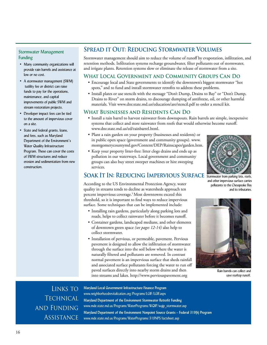#### Stormwater Management Funding

- Many community organizations will provide rain barrels and assistance at low or no cost.
- A stormwater management (SWM) tutility fee or district can raise funds to pay for the operations, maintenance, and capital improvements of public SWM and stream restoration projects.
- Developer impact fees can be tied to the amount of impervious cover on a site.
- State and federal grants, loans, and fees, such as Maryland Department of the Environment's Water Quality Infrastructure Program. These can cover the costs of SWM structures and reduce erosion and sedimentation from new construction.

## **Spread it Out: Reducing Stormwater Volumes**

Stormwater management should aim to reduce the volume of runoff by evaporation, infiltration, and retention methods. Infiltration systems recharge groundwater, filter pollutants out of stormwater, and irrigate plants. Retention systems slow or eliminate the release of stormwater from a site.

### **What Local Government and Community Groups Can Do**

- Encourage local and State governments to identify the downtown's biggest stormwater "hot spots," and to fund and install stormwater retrofits to address these problems.
- Install plates or use stencils with the message "Don't Dump, Drains to Bay" or "Don't Dump, Drains to River" on storm drains, to discourage dumping of antifreeze, oil, or other harmful materials. Visit www.dnr.state.md.us/education/are/stencil.pdf to order a stencil kit.

#### **What Businesses and Residents Can Do**

- Install a rain barrel to harvest rainwater from downspouts. Rain barrels are simple, inexpensive systems that collect and store rainwater from roofs that would otherwise become runoff. www.dnr.state.md.us/ed/rainbarrel.html.
- Plant a rain garden on your property (businesses and residents) or in public open space (government and community groups). www. montgomerycountymd.gov/Content/DEP/Rainscapes/garden.htm.
- Keep your property litter-free: litter clogs drains and ends up as pollution in our waterways. Local government and community groups can also buy street sweeper machines or hire sweeping services.



#### and other impervious surface carries pollutants to the Chesapeake Bay and its tributaries.

## **SOAK IT IN: REDUCING IMPERVIOUS SURFACE** Stormwater from parking lots, roofs,

According to the US Environmental Protection Agency, water quality in streams tends to decline as watersheds approach ten percent impervious coverage.<sup>5</sup> Most downtowns exceed this threshold, so it is important to find ways to reduce impervious surface. Some techniques that can be implemented include:

- Installing rain gardens, particularly along parking lots and roads, helps to collect rainwater before it becomes runoff.
- Container gardens, landscaped medians, and other elements of downtown green space *(see pages 12-14)* also help to collect stormwater.
- Installation of pervious, or permeable, pavement. Pervious pavement is designed to allow the infiltration of stormwater through the surface into the soil below where the water is naturally filtered and pollutants are removed. In contrast normal pavement is an impervious surface that sheds rainfall and associated surface pollutants forcing the water to run off paved surfaces directly into nearby storm drains and then into streams and lakes. http://www.perviouspavement.org



Rain barrels can collect and save rooftop runoff.

Links to **TECHNICAL** and Funding **ASSISTANCE** 

**Maryland Local Government Infrastructure Finance Program**  www.neighborhoodrevitalization.org/Programs/LGIF/LGIF.aspx **Maryland Department of the Environment Stormwater Retrofit Funding**  www.mde.state.md.us/Programs/WaterPrograms/WQIP/wqip\_stormwater.asp **Maryland Department of the Environment Nonpoint Source Grants – Federal 319(h) Program** www.mde.state.md.us/Programs/WaterPrograms/319NPS/factsheet.asp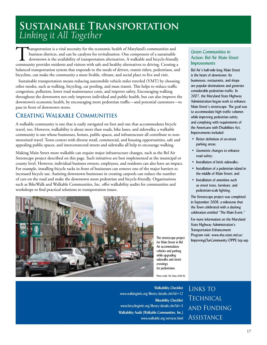## **Sustainable Transportation**  *Linking it All Together*

Transportation is a vital necessity for the economic health of Maryland's communities and business districts, and can be catalysts for revitalization. One component of a sustainable downtown is the availability of transportation alternatives. A walkable and bicycle-friendly community provides residents and visitors with safe and healthy alternatives to driving. Creating a balanced transportation system that responds to the needs of drivers, transit riders, pedestrians, and bicyclists, can make the community a more livable, vibrant, and social place to live and visit.

Sustainable transportation means reducing automobile vehicle miles traveled (VMT) by choosing other modes, such as walking, bicycling, car pooling, and mass transit. This helps to reduce traffic congestion, pollution, lower road maintenance costs, and improve safety. Encouraging walking throughout the downtown not only improves individual and public health, but can also improve the downtown's economic health, by encouraging more pedestrian traffic—and potential customers—to pass in front of downtown stores.

## **Creating Walkable Communities**

A walkable community is one that is easily navigated on foot and one that accommodates bicycle travel, too. However, walkability is about more than roads, bike lanes, and sidewalks; a walkable community is one whose businesses, homes, public spaces, and infrastructure all contribute to nonmotorized travel. Town centers with diverse retail, commercial, and housing opportunities, safe and appealing public spaces, and interconnected streets and sidewalks all help to encourage walking.

Making Main Street more walkable can require major infrastructure changes, such as the Bel Air Streetscape project described on this page. Such initiatives are best implemented at the municipal or county level. However, individual business owners, employees, and residents can also have an impact. For example, installing bicycle racks in front of businesses can remove one of the major barriers to increased bicycle use. Assisting downtown businesses in creating carpools can reduce the number of cars on the road and make the downtown more pedestrian and bicycle-friendly. Organizations such as BikeWalk and Walkable Communities, Inc. offer walkability audits for communities and workshops to find practical solutions to transportation issues.



The streetscape project for Main Street in Bel Air accommodates vehicles and parking while upgrading sidewalks and street crossings for pedestrians.

*Photo credit: The Town of Bel Air*

#### Green Communities in Action: *Bel Air Main Street Improvements*

Bel Air's half-mile long Main Street is the heart of downtown. Its businesses, restaurants, and shops are popular destinations and generate considerable pedestrian traffic. In 2007, the Maryland State Highway Administration began work to enhance Main Street's streetscape. The goal was to accommodate high traffic volumes while improving pedestrian safety and complying with requirements of the Americans with Disabilities Act. Improvements included:

- Better definition of on-street parking areas;
- Geometric changes to enhance road safety;
- Installation of brick sidewalks;
- Installation of a pedestrian island in the middle of Main Street; and
- Installation of amenities such as street trees, furniture, and pedestrian-scale lighting.

The Streetscape project was completed in September 2008; a milestone that the Town celebrated with a daylong celebration entitled "The Main Event."

For more information on the Maryland State Highway Administration's Transportation Enhancement Program visit: www.sha.state.md.us/ ImprovingOurCommunity/OPPE/tep.asp

**Walkability Checklist**

www.walkinginfo.org/library/details.cfm?id=12 **Bikeability Checklist** www.bicyclinginfo.org/library/details.cfm?id=3 **Walkability Audit (Walkable Communities, Inc.)** www.walkable.org/services.html

Links to **TECHNICAL** and Funding **ASSISTANCE**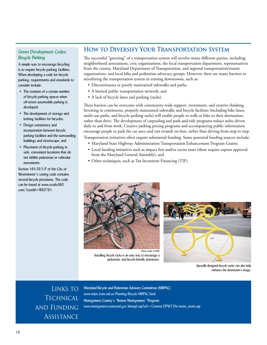#### Green Development Codes: *Bicycle Parking*

A simple way to encourage bicycling is to require bicycle parking facilities. When developing a code for bicycle parking, requirements and standards to consider include:

- The creation of a certain number of bicycle parking spaces when off-street automobile parking is developed;
- The development of storage and locking facilities for bicycles;
- Design consistency and incorporation between bicycle parking facilities and the surrounding buildings and streetscape; and
- Placement of bicycle parking in safe, convenient locations that do not inhibit pedestrian or vehicular movements.

Section 164-39.5.P of the City of Westminster's zoning code contains several bicycle provisions. The code can be found at www.ecode360. com/?custId=WE0761.

### **How to Diversify Your Transportation System**

The successful "greening" of a transportation system will involve many different parties, including neighborhood associations, civic organizations, the local transportation department, representatives from the county, Maryland Department of Transportation, and regional transportation/transit organizations, and local bike and pedestrian advocacy groups. However, there are many barriers to retrofitting the transportation system in existing downtowns, such as:

- Discontinuous or poorly maintained sidewalks and paths;
- A limited public transportation network; and
- A lack of bicycle lanes and parking (racks).

These barriers can be overcome with community-wide support, investment, and creative thinking. Investing in continuous, properly maintained sidewalks and bicycle facilities (including bike lanes, multi-use paths, and bicycle parking racks) will enable people to walk or bike to their destination, rather than drive. The development of carpooling and park-and-ride programs reduce miles driven daily to and from work. Creative parking pricing programs and accompanying public information encourage people to park the car once and run errands on foot, rather than driving from stop to stop. Transportation initiatives often require substantial funding. Some potential funding sources include:

- Maryland State Highway Administration Transportation Enhancement Program Grants;
- Local funding initiatives such as impact fees and/or excise taxes (these require express approval from the Maryland General Assembly); and
- Other techniques, such as Tax Increment Financing (TIF).



Installing bicycle racks is an easy way to encourage a pedestrian- and bicycle-friendly downtown. *Photo credit: of ERM*



Specially-designed bicycle racks can also help enhance the downtown's image.

Links to **TECHNICAL** and Funding **ASSISTANCE** 

**Maryland Bicycle and Pedestrian Advisory Committee (MBPAC)**  www.mdot.state.md.us/Planning/Bicycle/MBPAC.html **Montgomery County's "Renew Montgomery" Program** www.montgomerycountymd.gov/dirtmpl.asp?url=/Content/DPWT/Dir/renew\_mont.asp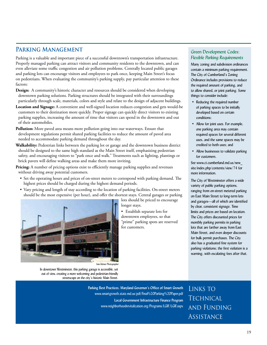## PARKING MANAGEMENT

Parking is a valuable and important piece of a successful downtown's transportation infrastructure. Properly managed parking can attract visitors and community residents to the downtown, and can even alleviate some traffic congestion and air pollution problems. Centrally located public garages and parking lots can encourage visitors and employees to park once, keeping Main Street's focus on pedestrians. When evaluating the community's parking supply, pay particular attention to these factors:

- **Design:** A community's historic character and resources should be considered when developing downtown parking solutions. Parking structures should be integrated with their surroundings particularly through scale, materials, colors and style and relate to the design of adjacent buildings.
- **Location and Signage:** A convenient and well-signed location reduces congestion and gets would-be customers to their destination more quickly. Proper signage can quickly direct visitors to existing parking supplies, increasing the amount of time that visitors can spend in the downtown and out of their automobiles.
- Pollution: More paved area means more pollution going into our waterways. Ensure that development regulations permit shared parking facilities to reduce the amount of paved area needed to accommodate parking demand throughout the day.
- Walkability: Pedestrian links between the parking lot or garage and the downtown business district should be designed to the same high standard as the Main Street itself, emphasizing pedestrian safety, and encouraging visitors to "park once and walk." Treatments such as lighting, plantings or brick pavers will define walking areas and make them more inviting.

**Pricing:** A number of pricing options exist to efficiently manage parking supplies and revenues without driving away potential customers.

- Set the operating hours and prices of on-street meters to correspond with parking demand. The highest prices should be charged during the highest demand periods.
- Vary pricing and length of stay according to the location of parking facilities. On-street meters should be the most expensive (per hour), and offer the shortest stays. Central garages or parking



*Sam Kittner Photographer*

In downtown Westminster, this parking garage is accessible, yet out of view, creating a more welcoming and pedestrian-friendly streetscape on the city's historic Main Street.

> **Parking Best Practices, Maryland Governor's Office of Smart Growth** www.smartgrowth.state.md.us/pdf/Final%20Parking%20Paper.pdf **Local Government Infrastructure Finance Program**  www.neighborhoodrevitalization.org/Programs/LGIF/LGIF.aspx

lots should be priced to encourage

• Establish separate lots for downtown employees, so that "prime" parking spots are reserved

longer stays.

for customers.

#### Green Development Codes: *Flexible Parking Requirements*

Many zoning and subdivision ordinances contain a minimum parking requirement. The City of Cumberland's Zoning Ordinance includes provisions to reduce the required amount of parking, and to allow shared, or joint parking. Some things to consider include:

- Reducing the required number of parking spaces to be initially developed based on certain conditions:
- Allow for joint uses. For example, one parking area may contain required spaces for several different uses, and the same spaces may be credited to both uses; and
- Allow businesses to validate parking for customers.

See www.ci.cumberland.md.us/new\_ site/index.php/contents/view/74 for more information.

The City of Westminster offers a wide variety of public parking options, ranging from on-street metered parking on East Main Street to long-term lots and garages—all of which are identified by clear, consistent signage. Time limits and prices are based on location. The City offers discounted prices for monthly parking permits in parking lots that are farther away from East Main Street, and even deeper discounts for bulk permit purchases. The City also has a graduated fine system for parking violations; the first violation is a warning, with escalating fees after that.

Links to **TECHNICAL** and Funding **ASSISTANCE**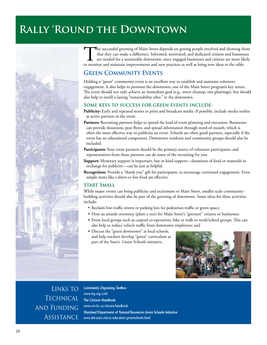## **Rally 'Round the Downtown**



The successful greening of Main Street depends on getting people involved and showing them that they can make a difference. Informed, motivated, and dedicated citizens and businesses are needed for a sustainable downtown, since engaged businesses and citizens are more likely to monitor and maintain improvements and new practices as well as bring new ideas to the table.

## **Green Community Events**

Holding a "green" community event is an excellent way to establish and maintain volunteer engagement. It also helps to promote the downtown, one of the Main Street program's key tenets. The event should not only achieve an immediate goal (e.g., street cleanup, tree plantings), but should also help to instill a lasting "sustainability ethic" in the downtown.

#### **Some keys to success for green events include:**

Publicity: Early and repeated stories in print and broadcast media. If possible, include media outlets as active partners in the event.

- Partners: Recruiting partners helps to spread the load of event planning and execution. Businesses can provide donations, post flyers, and spread information through word-of-mouth, which is often the most effective way to publicize an event. Schools are often good partners, especially if the event has an educational component. Downtown residents and community groups should also be included.
- Participants: Your event partners should be the primary source of volunteer participants, and representatives from those partners can do some of the recruiting for you.
- **Support:** Monetary support is important, but in-kind support—donations of food or materials in exchange for publicity—can be just as helpful.

Recognition: Provide a "thank-you" gift for participants, to encourage continued engagement. Even simple items like t-shirts or free food are effective.

#### **Start Small**

While major events can bring publicity and excitement to Main Street, smaller scale communitybuilding activities should also be part of the greening of downtown. Some ideas for these activities include:

- Reclaim low-traffic streets or parking lots for pedestrian traffic or green space;
- Host an awards ceremony (plant a tree) for Main Street's "greenest" citizens or businesses;
- Form local groups such as carpool co-operatives, bike or walk to work/school groups. This can also help to reduce vehicle traffic from downtown employees; and
- Discuss the "green downtown" at local schools, and help teachers develop "green" curriculum as part of the State's Green Schools initiative.



LINKS TO **TECHNICAL** and Funding **ASSISTANCE** 

**Community Organizing Toolbox**  www.nfg.org/cotb **The Citizens Handbook**  www.vcn.bc.ca/citizens-handbook **Maryland Department of Natural Resources Green Schools Initiative** www.dnr.state.md.us/education/greenschools.html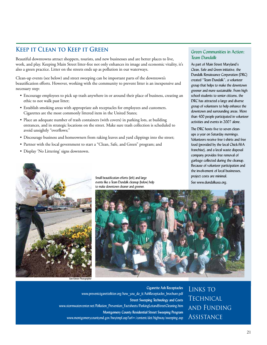## **Keep it Clean to Keep it Green**

Beautiful downtowns attract shoppers, tourists, and new businesses and are better places to live, work, and play. Keeping Main Street litter-free not only enhances its image and economic vitality, it's also a green practice. Litter on the streets ends up as pollution in our waterways.

Clean-up events (see below) and street sweeping can be important parts of the downtown's beautification efforts. However, working with the community to prevent litter is an inexpensive and necessary step:

- Encourage employees to pick up trash anywhere in or around their place of business, creating an ethic to not walk past litter;
- Establish smoking areas with appropriate ash receptacles for employees and customers. Cigarettes are the most commonly littered item in the United States;
- Place an adequate number of trash containers (with covers) in parking lots, at building entrances, and in strategic locations on the street. Make sure trash collection is scheduled to avoid unsightly "overflows;"
- Discourage business and homeowners from raking leaves and yard clippings into the street;
- Partner with the local government to start a "Clean, Safe, and Green" program; and
- Display 'No Littering' signs downtown.



Small beautification efforts (left) and large events like a Team Dundalk cleanup (below) help to make downtown cleaner and greener.



Links to

**TECHNICAL** 

**ASSISTANCE** 

and Funding

*Sam Kittner Photographer*

**Cigarette Ash Receptacles** www.preventcigarettelitter.org/how\_you\_do\_it/AshReceptacles\_brochure.pdf **Street Sweeping Technology and Costs**  www.stormwatercenter.net/Pollution\_Prevention\_Factsheets/ParkingLotandStreetCleaning.htm **Montgomery County Residential Street Sweeping Program** www.montgomerycountymd.gov/hwytmpl.asp?url=/content/dot/highway/sweeping.asp

#### Green Communities in Action: *Team Dundalk*

As part of Main Street Maryland's Clean, Safe and Green initiative, the Dundalk Renaissance Corporation (DRC) created "Team Dundalk", a volunteer group that helps to make the downtown greener and more sustainable. From high school students to senior citizens, the DRC has attracted a large and diverse group of volunteers to help enhance the downtown and surrounding areas. More than 400 people participated in volunteer activities and events in 2007 alone.

The DRC hosts five to seven cleanups a year on Saturday mornings. Volunteers receive free t-shirts and free food (provided by the local Chick-Fil-A franchise), and a local waste disposal company provides free removal of garbage collected during the cleanup. Because of volunteer participation and the involvement of local businesses, project costs are minimal. See www.dundalkusa.org.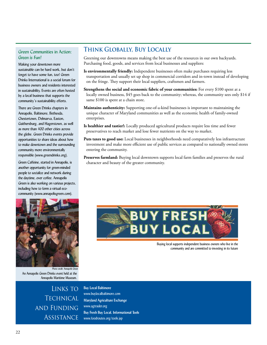#### Green Communities in Action: *Green is Fun!*

Making your downtown more sustainable can be hard work, but don't forget to have some fun, too! Green Drinks International is a social forum for business owners and residents interested in sustainability. Events are often hosted by a local business that supports the community's sustainability efforts.

There are Green Drinks chapters in Annapolis, Baltimore, Bethesda, Chestertown, Delmarva, Easton, Gaithersburg, and Hagerstown, as well as more than 400 other cities across the globe. Green Drinks events provide opportunities to share ideas about how to make downtown and the surrounding community more environmentally responsible (www.greendrinks.org).

Green Caffeine, started in Annapolis, is another opportunity for green-minded people to socialize and network during the daytime, over coffee. Annapolis Green is also working on various projects, including how to form a virtual ecocommunity (www.annapolisgreen.com).



Greening our downtowns means making the best use of the resources in our own backyards. Purchasing food, goods, and services from local businesses and suppliers:

- Is environmentally friendly: Independent businesses often make purchases requiring less transportation and usually set up shop in commercial corridors and in-town instead of developing on the fringe. They support their local suppliers, craftsmen and farmers.
- **Strengthens the social and economic fabric of your communities:** For every \$100 spent at a locally owned business, \$45 goes back to the community; whereas, the community sees only \$14 if same \$100 is spent at a chain store.
- **Maintains authenticity:** Supporting one-of-a-kind businesses is important to maintaining the unique character of Maryland communities as well as the economic health of family-owned enterprises.
- **Is healthier and tastier!:** Locally produced agricultural products require less time and fewer preservatives to reach market and lose fewer nutrients on the way to market.
- Puts taxes to good use: Local businesses in neighborhoods need comparatively less infrastructure investment and make more efficient use of public services as compared to nationally owned stores entering the community.

Preserves farmland: Buying local downtown supports local farm families and preserves the rural character and beauty of the greater community.



An Annapolis Green Drinks event held at the Annapolis Maritime Museum.

> Links to **TECHNICAL** and Funding **ASSISTANCE**

**Buy Local Baltimore**  www.buylocalbaltimore.com **Maryland Agriculture Exchange**  www.agtrader.org **Buy Fresh Buy Local, Informational Tools**  www.foodroutes.org/tools.jsp



Buying local supports independent business owners who live in the community and are committed to investing in its future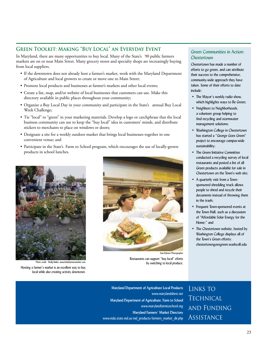### **Green Toolkit: Making "Buy Local" an Everyday Event**

In Maryland, there are many opportunities to buy local. Many of the State's 90 public farmers markets are on or near Main Street. Many grocery stores and specialty shops are increasingly buying from local suppliers.

- If the downtown does not already host a farmer's market, work with the Maryland Department of Agriculture and local growers to create or move one to Main Street;
- Promote local products and businesses at farmer's markets and other local events;
- Create a list, map, and/or website of local businesses that customers can use. Make this directory available in public places throughout your community;
- Organize a Buy Local Day in your community and participate in the State's annual Buy Local Week Challenge;
- Tie "local" to "green" in your marketing materials. Develop a logo or catchphrase that the local business community can use to keep the "buy local" idea in customers' minds, and distribute stickers to merchants to place on windows or doors;
- Designate a site for a weekly outdoor market that brings local businesses together in one convenient venue; and
- Participate in the State's Farm to School program, which encourages the use of locally-grown products in school lunches.



*Photo credit: Molly Balint, www.belairfa* 

Hosting a farmer's market is an excellent way to buy local while also creating activity downtown.



Restaurants can support "buy local" efforts by switching to local produce.

#### Green Communities in Action: *Chestertown*

Chestertown has made a number of efforts to go green, and can attribute their success to the comprehensive, community-wide approach they have taken. Some of their efforts to date include:

- The Mayor's weekly radio show, which highlights ways to Be Green;
- Neighbors to Neighborhoods, a volunteer group helping to find recycling and stormwater management solutions;
- Washington College in Chestertown has started a "George Goes Green" project to encourage campus-wide sustainability;
- The Green Initiative Committee conducted a recycling survey of local restaurants and posted a list of all Green products available for sale in Chestertown on the Town's web site;
- A quarterly visit from a Townsponsored shredding truck allows people to shred and recycle their documents instead of throwing them in the trash;
- Frequent Town-sponsored events at the Town Hall, such as a discussion of "Affordable Solar Energy for the Home:" and
- The Chestertown website, hosted by Washington College displays all of the Town's Green efforts: chestertowngoesgreen.washcoll.edu

**Maryland Department of Agriculture Local Products**  www.marylandsbest.net **Maryland Department of Agriculture, Farm to School**  www.marylandfarmtoschool.org **Maryland Farmers' Market Directory**  www.mda.state.md.us/md\_products/farmers\_market\_dir.php

Links to **TECHNICAL** and Funding **ASSISTANCE**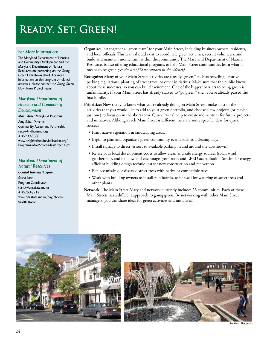## **Ready, Set, Green!**

#### For More Information:

The Maryland Department of Housing and Community Development and the Maryland Department of Natural Resources are partnering on the Going Green Downtown effort. For more information on this program or related activities, please contact the Going Green Downtown Project Team:

#### *Maryland Department of Housing and Community Development*

*Main Street Maryland Program* Amy Seitz, Director Community Access and Partnership seitz@mdhousing.org 410-209-5800 www.neighborhoodrevitalization.org/ Programs/MainStreet/MainStreet.aspx.

#### *Maryland Department of Natural Resources*

*Coastal Training Program* Sasha Land Program Coordinator sland@dnr.state.md.us 410-260-8718 www.dnr.state.md.us/bay/cbnerr/ ctraining.asp

- Organize: Put together a "green team" for your Main Street, including business owners, residents, and local officials. This team should exist to coordinate green activities, recruit volunteers, and build and maintain momentum within the community. The Maryland Department of Natural Resources is also offering educational programs to help Main Street communities learn what it means to be green *(see the list of State contacts in the sidebar)*.
- **Recognize:** Many of your Main Street activities are already "green," such as recycling, creative parking regulations, planting of street trees, or other initiatives. Make sure that the public knows about these successes, so you can build excitement. One of the biggest barriers to being green is unfamiliarity. If your Main Street has already started to "go green," then you've already passed the first hurdle.

**Prioritize:** Now that you know what you're already doing on Main Street, make a list of the activities that you would like to add to your green portfolio, and choose a few projects (or maybe just one) to focus on in the short term. Quick "wins" help to create momentum for future projects and initiatives. Although each Main Street is different, here are some specific ideas for quick success:

- Plant native vegetation in landscaping areas.
- Begin to plan and organize a green community event, such as a cleanup day.
- Install signage to direct visitors to available parking in and around the downtown.
- Revise your local development codes to allow clean and safe energy sources (solar, wind, geothermal), and to allow and encourage green roofs and LEED accreditation (or similar energy efficient building design techniques) for new construction and renovation.
- Replace missing or diseased street trees with native or compatible trees.
- Work with building owners to install rain barrels, to be used for watering of street trees and other plants.

**Network:** The Main Street Maryland network currently includes 23 communities. Each of these Main Streets has a different approach to going green. By networking with other Main Street managers, you can share ideas for green activities and initiatives.





*Sam Kittnerr Photographer*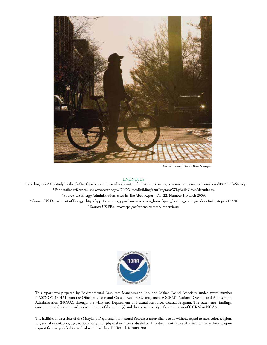

Front and back cover photos, Sam Kittner Photographe

#### ENDNOTES

<sup>1</sup> According to a 2008 study by the CoStar Group, a commercial real estate information service. greensource.construction.com/news/080508CoStar.asp 2 For detailed references, see www.seattle.gov/DPD/GreenBuilding/OurProgram/WhyBuildGreen/default.asp. <sup>3</sup> Source: US Energy Administration, cited in The Abell Report, Vol. 22, Number 1, March 2009. <sup>4</sup> Source: US Department of Energy. http://apps1.eere.energy.gov/consumer/your\_home/space\_heating\_cooling/index.cfm/mytopic=12720 <sup>5</sup> Source: US EPA. www.epa.gov/athens/research/impervious/



This report was prepared by Environmental Resources Management, Inc. and Mahan Rykiel Associates under award number NA07NOS4190161 from the Office of Ocean and Coastal Resource Management (OCRM), National Oceanic and Atmospheric Administration (NOAA), through the Maryland Department of Natural Resources Coastal Program. The statements, findings, conclusions and recommendations are those of the author(s) and do not necessarily reflect the views of OCRM or NOAA.

The facilities and services of the Maryland Department of Natural Resources are available to all without regard to race, color, religion, sex, sexual orientation, age, national origin or physical or mental disability. This document is available in alternative format upon request from a qualified individual with disability. DNR# 14-482009-388

-